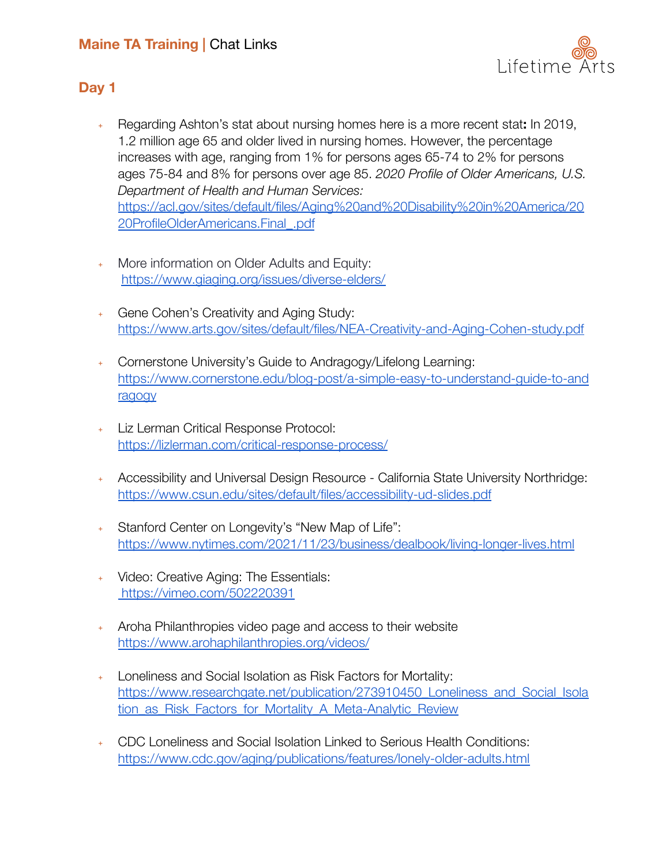# **Maine TA Training |** Chat Links



### **Day 1**

- ﹢ Regarding Ashton's stat about nursing homes here is a more recent stat**:** In 2019, 1.2 million age 65 and older lived in nursing homes. However, the percentage increases with age, ranging from 1% for persons ages 65-74 to 2% for persons ages 75-84 and 8% for persons over age 85. *2020 Profile of Older Americans, U.S. Department of Health and Human Services:* [https://acl.gov/sites/default/files/Aging%20and%20Disability%20in%20America/20](https://acl.gov/sites/default/files/Aging%20and%20Disability%20in%20America/2020ProfileOlderAmericans.Final_.pdf) [20ProfileOlderAmericans.Final\\_.pdf](https://acl.gov/sites/default/files/Aging%20and%20Disability%20in%20America/2020ProfileOlderAmericans.Final_.pdf)
- ﹢ More information on Older Adults and Equity: <https://www.giaging.org/issues/diverse-elders/>
- ﹢ Gene Cohen's Creativity and Aging Study: <https://www.arts.gov/sites/default/files/NEA-Creativity-and-Aging-Cohen-study.pdf>
- ﹢ Cornerstone University's Guide to Andragogy/Lifelong Learning: [https://www.cornerstone.edu/blog-post/a-simple-easy-to-understand-guide-to-and](https://www.cornerstone.edu/blog-post/a-simple-easy-to-understand-guide-to-andragogy) [ragogy](https://www.cornerstone.edu/blog-post/a-simple-easy-to-understand-guide-to-andragogy)
- ﹢ Liz Lerman Critical Response Protocol: <https://lizlerman.com/critical-response-process/>
- ﹢ Accessibility and Universal Design Resource California State University Northridge[:](https://www.csun.edu/sites/default/files/accessibility-ud-slides.pdf) <https://www.csun.edu/sites/default/files/accessibility-ud-slides.pdf>
- Stanford Center on Longevity's "New Map of Life": <https://www.nytimes.com/2021/11/23/business/dealbook/living-longer-lives.html>
- ﹢ Video: Creative Aging: The Essentials: <https://vimeo.com/502220391>
- ﹢ Aroha Philanthropies video page and access to their website <https://www.arohaphilanthropies.org/videos/>
- Loneliness and Social Isolation as Risk Factors for Mortality: https://www.researchgate.net/publication/273910450 Loneliness and Social Isola tion as Risk Factors for Mortality A Meta-Analytic Review
- ﹢ CDC Loneliness and Social Isolation Linked to Serious Health Conditions: <https://www.cdc.gov/aging/publications/features/lonely-older-adults.html>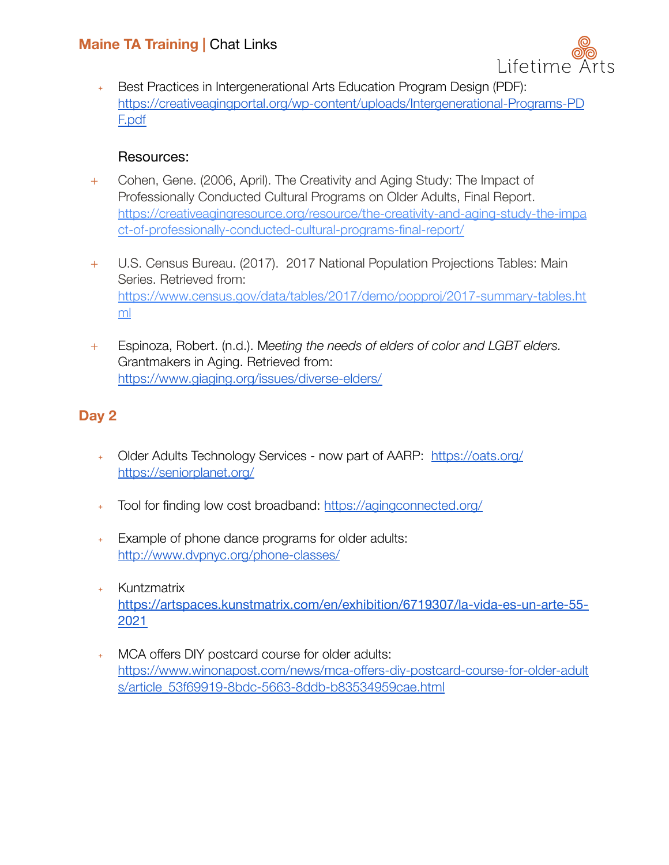# **Maine TA Training |** Chat Links



﹢ Best Practices in Intergenerational Arts Education Program Design (PDF): [https://creativeagingportal.org/wp-content/uploads/Intergenerational-Programs-PD](https://creativeagingportal.org/wp-content/uploads/Intergenerational-Programs-PDF.pdf) [F.pdf](https://creativeagingportal.org/wp-content/uploads/Intergenerational-Programs-PDF.pdf)

### Resources:

- + Cohen, Gene. (2006, April). The Creativity and Aging Study: The Impact of Professionally Conducted Cultural Programs on Older Adults, Final Report. [https://creativeagingresource.org/resource/the-creativity-and-aging-study-the-impa](https://creativeagingresource.org/resource/the-creativity-and-aging-study-the-impact-of-professionally-conducted-cultural-programs-final-report/) [ct-of-professionally-conducted-cultural-programs-final-report/](https://creativeagingresource.org/resource/the-creativity-and-aging-study-the-impact-of-professionally-conducted-cultural-programs-final-report/)
- + U.S. Census Bureau. (2017). 2017 National Population Projections Tables: Main Series. Retrieved from: [https://www.census.gov/data/tables/2017/demo/popproj/2017-summary-tables.ht](https://www.census.gov/data/tables/2017/demo/popproj/2017-summary-tables.html) [ml](https://www.census.gov/data/tables/2017/demo/popproj/2017-summary-tables.html)
- + Espinoza, Robert. (n.d.). M*eeting the needs of elders of color and LGBT elders.* Grantmakers in Aging. Retrieved from: <https://www.giaging.org/issues/diverse-elders/>

## **Day 2**

- + Older Adults Technology Services now part of AARP: <https://oats.org/> [https://seniorplanet.org/](https://oats.org/)
- ﹢ Tool for finding low cost broadband: <https://agingconnected.org/>
- ﹢ Example of phone dance programs for older adults: <http://www.dvpnyc.org/phone-classes/>
- **Kuntzmatrix** [https://artspaces.kunstmatrix.com/en/exhibition/6719307/la-vida-es-un-arte-55-](https://artspaces.kunstmatrix.com/en/exhibition/6719307/la-vida-es-un-arte-55-2021) [2021](https://artspaces.kunstmatrix.com/en/exhibition/6719307/la-vida-es-un-arte-55-2021)
- MCA offers DIY postcard course for older adults: [https://www.winonapost.com/news/mca-offers-diy-postcard-course-for-older-adult](https://www.winonapost.com/news/mca-offers-diy-postcard-course-for-older-adults/article_53f69919-8bdc-5663-8ddb-b83534959cae.html) [s/article\\_53f69919-8bdc-5663-8ddb-b83534959cae.html](https://www.winonapost.com/news/mca-offers-diy-postcard-course-for-older-adults/article_53f69919-8bdc-5663-8ddb-b83534959cae.html)